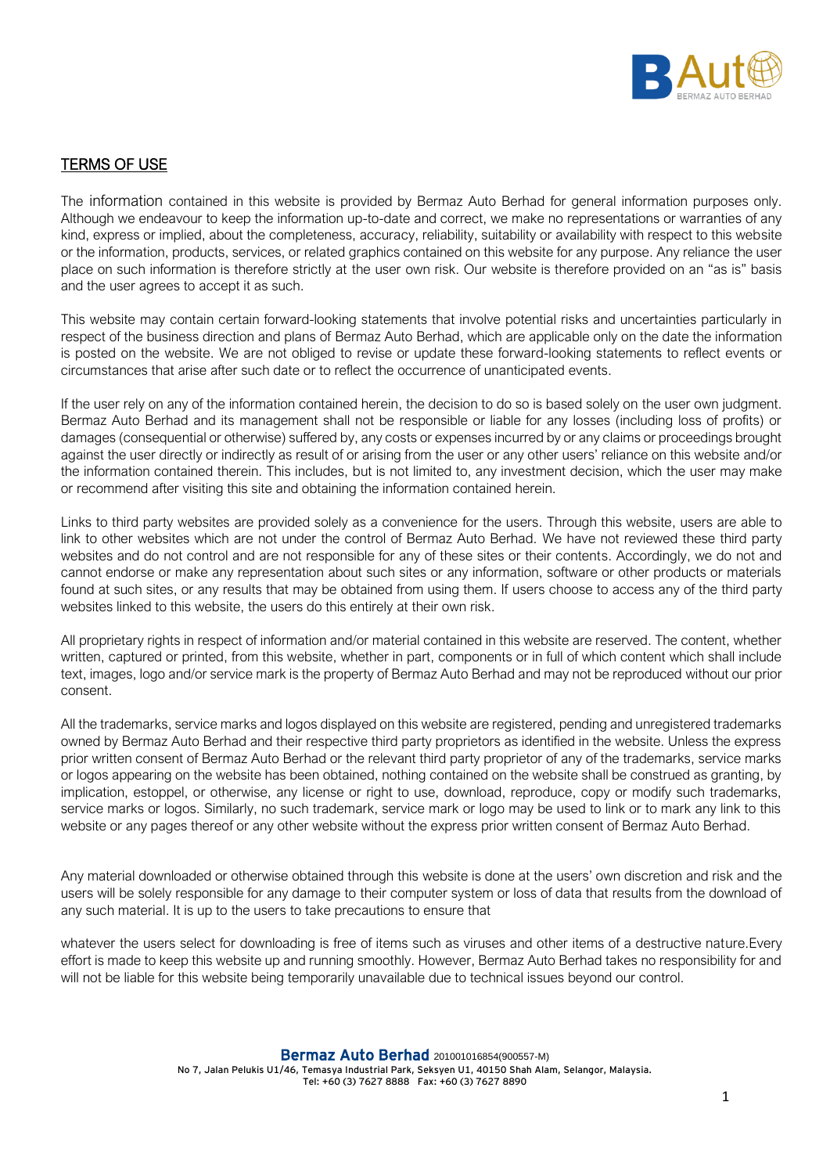

## TERMS OF USE

The information contained in this website is provided by Bermaz Auto Berhad for general information purposes only. Although we endeavour to keep the information up-to-date and correct, we make no representations or warranties of any kind, express or implied, about the completeness, accuracy, reliability, suitability or availability with respect to this website or the information, products, services, or related graphics contained on this website for any purpose. Any reliance the user place on such information is therefore strictly at the user own risk. Our website is therefore provided on an "as is" basis and the user agrees to accept it as such.

This website may contain certain forward-looking statements that involve potential risks and uncertainties particularly in respect of the business direction and plans of Bermaz Auto Berhad, which are applicable only on the date the information is posted on the website. We are not obliged to revise or update these forward-looking statements to reflect events or circumstances that arise after such date or to reflect the occurrence of unanticipated events.

If the user rely on any of the information contained herein, the decision to do so is based solely on the user own judgment. Bermaz Auto Berhad and its management shall not be responsible or liable for any losses (including loss of profits) or damages (consequential or otherwise) suffered by, any costs or expenses incurred by or any claims or proceedings brought against the user directly or indirectly as result of or arising from the user or any other users' reliance on this website and/or the information contained therein. This includes, but is not limited to, any investment decision, which the user may make or recommend after visiting this site and obtaining the information contained herein.

Links to third party websites are provided solely as a convenience for the users. Through this website, users are able to link to other websites which are not under the control of Bermaz Auto Berhad. We have not reviewed these third party websites and do not control and are not responsible for any of these sites or their contents. Accordingly, we do not and cannot endorse or make any representation about such sites or any information, software or other products or materials found at such sites, or any results that may be obtained from using them. If users choose to access any of the third party websites linked to this website, the users do this entirely at their own risk.

All proprietary rights in respect of information and/or material contained in this website are reserved. The content, whether written, captured or printed, from this website, whether in part, components or in full of which content which shall include text, images, logo and/or service mark is the property of Bermaz Auto Berhad and may not be reproduced without our prior consent.

All the trademarks, service marks and logos displayed on this website are registered, pending and unregistered trademarks owned by Bermaz Auto Berhad and their respective third party proprietors as identified in the website. Unless the express prior written consent of Bermaz Auto Berhad or the relevant third party proprietor of any of the trademarks, service marks or logos appearing on the website has been obtained, nothing contained on the website shall be construed as granting, by implication, estoppel, or otherwise, any license or right to use, download, reproduce, copy or modify such trademarks, service marks or logos. Similarly, no such trademark, service mark or logo may be used to link or to mark any link to this website or any pages thereof or any other website without the express prior written consent of Bermaz Auto Berhad.

Any material downloaded or otherwise obtained through this website is done at the users' own discretion and risk and the users will be solely responsible for any damage to their computer system or loss of data that results from the download of any such material. It is up to the users to take precautions to ensure that

whatever the users select for downloading is free of items such as viruses and other items of a destructive nature.Every effort is made to keep this website up and running smoothly. However, Bermaz Auto Berhad takes no responsibility for and will not be liable for this website being temporarily unavailable due to technical issues beyond our control.

Bermaz Auto Berhad 201001016854(900557-M)

No 7, Jalan Pelukis U1/46, Temasya Industrial Park, Seksyen U1, 40150 Shah Alam, Selangor, Malaysia. Tel: +60 (3) 7627 8888 Fax: +60 (3) 7627 8890